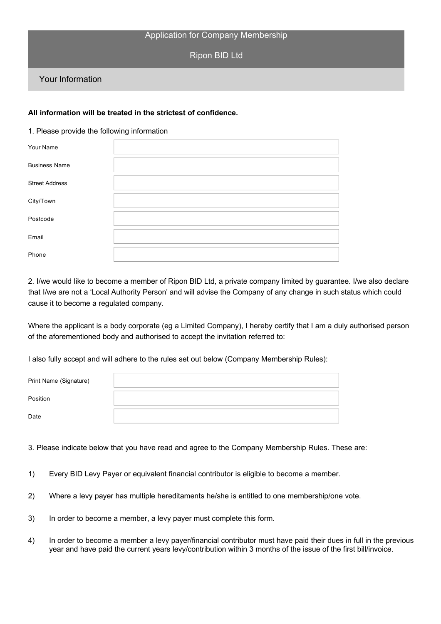## Application for Company Membership

Ripon BID Ltd

## Your Information

## **All information will be treated in the strictest of confidence.**

## 1. Please provide the following information

| Your Name             |  |
|-----------------------|--|
| <b>Business Name</b>  |  |
| <b>Street Address</b> |  |
| City/Town             |  |
| Postcode              |  |
| Email                 |  |
| Phone                 |  |

2. I/we would like to become a member of Ripon BID Ltd, a private company limited by guarantee. I/we also declare that I/we are not a 'Local Authority Person' and will advise the Company of any change in such status which could cause it to become a regulated company.

Where the applicant is a body corporate (eg a Limited Company), I hereby certify that I am a duly authorised person of the aforementioned body and authorised to accept the invitation referred to:

I also fully accept and will adhere to the rules set out below (Company Membership Rules):

| Print Name (Signature) |  |
|------------------------|--|
| Position               |  |
| Date                   |  |

3. Please indicate below that you have read and agree to the Company Membership Rules. These are:

- 1) Every BID Levy Payer or equivalent financial contributor is eligible to become a member.
- 2) Where a levy payer has multiple hereditaments he/she is entitled to one membership/one vote.
- 3) In order to become a member, a levy payer must complete this form.
- 4) In order to become a member a levy payer/financial contributor must have paid their dues in full in the previous year and have paid the current years levy/contribution within 3 months of the issue of the first bill/invoice.